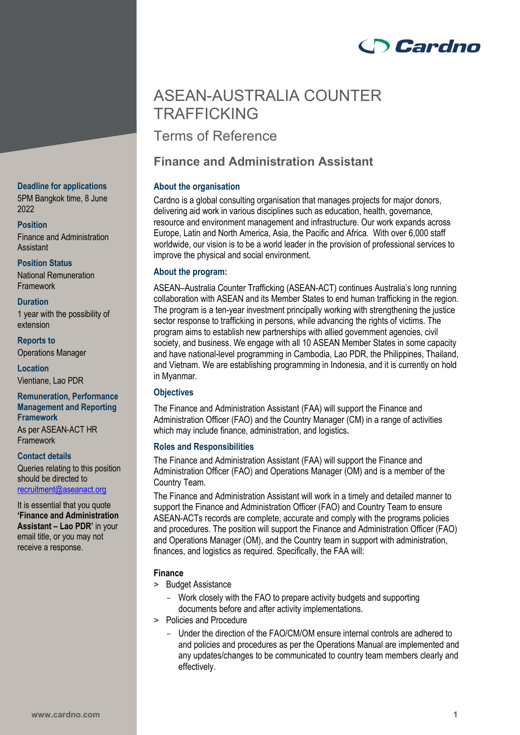# **Cardno**

## ASEAN-AUSTRALIA COUNTER **TRAFFICKING**

Terms of Reference

## **Finance and Administration Assistant**

## **About the organisation**

Cardno is a global consulting organisation that manages projects for major donors, delivering aid work in various disciplines such as education, health, governance, resource and environment management and infrastructure. Our work expands across Europe, Latin and North America, Asia, the Pacific and Africa. With over 6,000 staff worldwide, our vision is to be a world leader in the provision of professional services to improve the physical and social environment.

## **About the program:**

ASEAN–Australia Counter Trafficking (ASEAN-ACT) continues Australia's long running collaboration with ASEAN and its Member States to end human trafficking in the region. The program is a ten-year investment principally working with strengthening the justice sector response to trafficking in persons, while advancing the rights of victims. The program aims to establish new partnerships with allied government agencies, civil society, and business. We engage with all 10 ASEAN Member States in some capacity and have national-level programming in Cambodia, Lao PDR, the Philippines, Thailand, and Vietnam. We are establishing programming in Indonesia, and it is currently on hold in Myanmar.

## **Objectives**

The Finance and Administration Assistant (FAA) will support the Finance and Administration Officer (FAO) and the Country Manager (CM) in a range of activities which may include finance, administration, and logistics**.** 

## **Roles and Responsibilities**

The Finance and Administration Assistant (FAA) will support the Finance and Administration Officer (FAO) and Operations Manager (OM) and is a member of the Country Team.

The Finance and Administration Assistant will work in a timely and detailed manner to support the Finance and Administration Officer (FAO) and Country Team to ensure ASEAN-ACTs records are complete, accurate and comply with the programs policies and procedures. The position will support the Finance and Administration Officer (FAO) and Operations Manager (OM), and the Country team in support with administration, finances, and logistics as required. Specifically, the FAA will:

## **Finance**

- > Budget Assistance
	- Work closely with the FAO to prepare activity budgets and supporting documents before and after activity implementations.
- > Policies and Procedure
	- Under the direction of the FAO/CM/OM ensure internal controls are adhered to and policies and procedures as per the Operations Manual are implemented and any updates/changes to be communicated to country team members clearly and effectively.

### **Deadline for applications**

5PM Bangkok time, 8 June 2022

**Position**

Finance and Administration Assistant

**Position Status**

National Remuneration Framework

## **Duration**

1 year with the possibility of extension

**Reports to** Operations Manager

**Location** Vientiane, Lao PDR

## **Remuneration, Performance Management and Reporting Framework** As per ASEAN-ACT HR

Framework

**Contact details** Queries relating to this position should be directed to [recruitment@aseanact.org](mailto:recruitment@aseanact.org) 

It is essential that you quote **'Finance and Administration Assistant – Lao PDR'** in your email title, or you may not receive a response.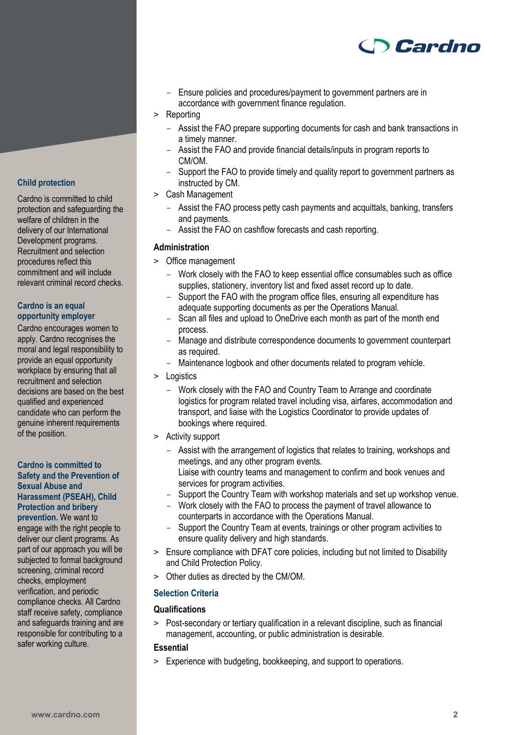

- Ensure policies and procedures/payment to government partners are in accordance with government finance regulation.
- > Reporting
	- Assist the FAO prepare supporting documents for cash and bank transactions in a timely manner.
	- Assist the FAO and provide financial details/inputs in program reports to CM/OM.
	- Support the FAO to provide timely and quality report to government partners as instructed by CM.
- > Cash Management
	- Assist the FAO process petty cash payments and acquittals, banking, transfers and payments.
	- Assist the FAO on cashflow forecasts and cash reporting.

#### **Administration**

- > Office management
	- Work closely with the FAO to keep essential office consumables such as office supplies, stationery, inventory list and fixed asset record up to date.
	- Support the FAO with the program office files, ensuring all expenditure has adequate supporting documents as per the Operations Manual.
	- Scan all files and upload to OneDrive each month as part of the month end process.
	- Manage and distribute correspondence documents to government counterpart as required.
	- Maintenance logbook and other documents related to program vehicle.
- > Logistics
	- Work closely with the FAO and Country Team to Arrange and coordinate logistics for program related travel including visa, airfares, accommodation and transport, and liaise with the Logistics Coordinator to provide updates of bookings where required.
- > Activity support
	- Assist with the arrangement of logistics that relates to training, workshops and meetings, and any other program events.
	- Liaise with country teams and management to confirm and book venues and services for program activities.
	- Support the Country Team with workshop materials and set up workshop venue.
	- Work closely with the FAO to process the payment of travel allowance to counterparts in accordance with the Operations Manual.
	- Support the Country Team at events, trainings or other program activities to ensure quality delivery and high standards.
- > Ensure compliance with DFAT core policies, including but not limited to Disability and Child Protection Policy.
- > Other duties as directed by the CM/OM.

#### **Selection Criteria**

#### **Qualifications**

> Post-secondary or tertiary qualification in a relevant discipline, such as financial management, accounting, or public administration is desirable.

## **Essential**

> Experience with budgeting, bookkeeping, and support to operations.

## **Child protection**

Cardno is committed to child protection and safeguarding the welfare of children in the delivery of our International Development programs. Recruitment and selection procedures reflect this commitment and will include relevant criminal record checks.

#### **Cardno is an equal opportunity employer**

Cardno encourages women to apply. Cardno recognises the moral and legal responsibility to provide an equal opportunity workplace by ensuring that all recruitment and selection decisions are based on the best qualified and experienced candidate who can perform the genuine inherent requirements of the position.

#### **Cardno is committed to Safety and the Prevention of Sexual Abuse and Harassment (PSEAH), Child Protection and bribery**

**prevention.** We want to engage with the right people to deliver our client programs. As part of our approach you will be subjected to formal background screening, criminal record checks, employment verification, and periodic compliance checks. All Cardno staff receive safety, compliance and safeguards training and are responsible for contributing to a safer working culture.